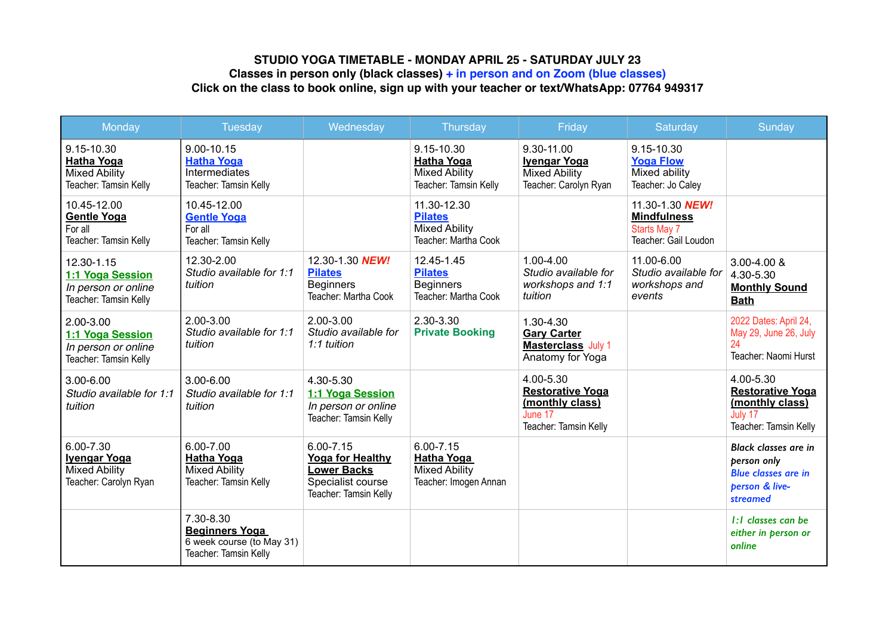## **STUDIO YOGA TIMETABLE - MONDAY APRIL 25 - SATURDAY JULY 23 Classes in person only (black classes) + in person and on Zoom (blue classes) Click on the class to book online, sign up with your teacher or text/WhatsApp: 07764 949317**

| Monday                                                                            | Tuesday                                                                                  | Wednesday                                                                                                    | Thursday                                                                            | Friday                                                                                      | Saturday                                                                             | Sunday                                                                                                 |
|-----------------------------------------------------------------------------------|------------------------------------------------------------------------------------------|--------------------------------------------------------------------------------------------------------------|-------------------------------------------------------------------------------------|---------------------------------------------------------------------------------------------|--------------------------------------------------------------------------------------|--------------------------------------------------------------------------------------------------------|
| 9.15-10.30<br><b>Hatha Yoga</b><br><b>Mixed Ability</b><br>Teacher: Tamsin Kelly  | 9.00-10.15<br><b>Hatha Yoga</b><br><b>Intermediates</b><br>Teacher: Tamsin Kelly         |                                                                                                              | 9.15-10.30<br><b>Hatha Yoga</b><br><b>Mixed Ability</b><br>Teacher: Tamsin Kelly    | 9.30-11.00<br><b>Ivengar Yoga</b><br><b>Mixed Ability</b><br>Teacher: Carolyn Ryan          | 9.15-10.30<br><b>Yoga Flow</b><br>Mixed ability<br>Teacher: Jo Caley                 |                                                                                                        |
| 10.45-12.00<br><b>Gentle Yoga</b><br>For all<br>Teacher: Tamsin Kelly             | 10.45-12.00<br><b>Gentle Yoga</b><br>For all<br>Teacher: Tamsin Kelly                    |                                                                                                              | 11.30-12.30<br><b>Pilates</b><br><b>Mixed Ability</b><br>Teacher: Martha Cook       |                                                                                             | 11.30-1.30 NEW!<br><b>Mindfulness</b><br><b>Starts May 7</b><br>Teacher: Gail Loudon |                                                                                                        |
| 12.30-1.15<br>1:1 Yoga Session<br>In person or online<br>Teacher: Tamsin Kelly    | 12.30-2.00<br>Studio available for 1:1<br>tuition                                        | 12.30-1.30 NEW!<br><b>Pilates</b><br><b>Beginners</b><br>Teacher: Martha Cook                                | 12.45-1.45<br><b>Pilates</b><br><b>Beginners</b><br>Teacher: Martha Cook            | 1.00-4.00<br>Studio available for<br>workshops and 1:1<br>tuition                           | 11.00-6.00<br>Studio available for<br>workshops and<br>events                        | 3.00-4.00 &<br>4.30-5.30<br><b>Monthly Sound</b><br><b>Bath</b>                                        |
| 2.00-3.00<br>1:1 Yoga Session<br>In person or online<br>Teacher: Tamsin Kelly     | 2.00-3.00<br>Studio available for 1:1<br>tuition                                         | 2.00-3.00<br>Studio available for<br>1:1 tuition                                                             | 2.30-3.30<br><b>Private Booking</b>                                                 | 1.30-4.30<br><b>Gary Carter</b><br><b>Masterclass</b> July 1<br>Anatomy for Yoga            |                                                                                      | 2022 Dates: April 24,<br>May 29, June 26, July<br>24<br>Teacher: Naomi Hurst                           |
| 3.00-6.00<br>Studio available for 1:1<br>tuition                                  | $3.00 - 6.00$<br>Studio available for 1:1<br>tuition                                     | 4.30-5.30<br>1:1 Yoga Session<br>In person or online<br>Teacher: Tamsin Kelly                                |                                                                                     | 4.00-5.30<br><b>Restorative Yoga</b><br>(monthly class)<br>June 17<br>Teacher: Tamsin Kelly |                                                                                      | 4.00-5.30<br><b>Restorative Yoga</b><br>(monthly class)<br>July 17<br>Teacher: Tamsin Kelly            |
| 6.00-7.30<br><b>Ivengar Yoga</b><br><b>Mixed Ability</b><br>Teacher: Carolyn Ryan | 6.00-7.00<br><b>Hatha Yoga</b><br><b>Mixed Ability</b><br>Teacher: Tamsin Kelly          | $6.00 - 7.15$<br><b>Yoga for Healthy</b><br><b>Lower Backs</b><br>Specialist course<br>Teacher: Tamsin Kelly | $6.00 - 7.15$<br><b>Hatha Yoga</b><br><b>Mixed Ability</b><br>Teacher: Imogen Annan |                                                                                             |                                                                                      | <b>Black classes are in</b><br>person only<br><b>Blue classes are in</b><br>person & live-<br>streamed |
|                                                                                   | 7.30-8.30<br><b>Beginners Yoga</b><br>6 week course (to May 31)<br>Teacher: Tamsin Kelly |                                                                                                              |                                                                                     |                                                                                             |                                                                                      | 1:1 classes can be<br>either in person or<br>online                                                    |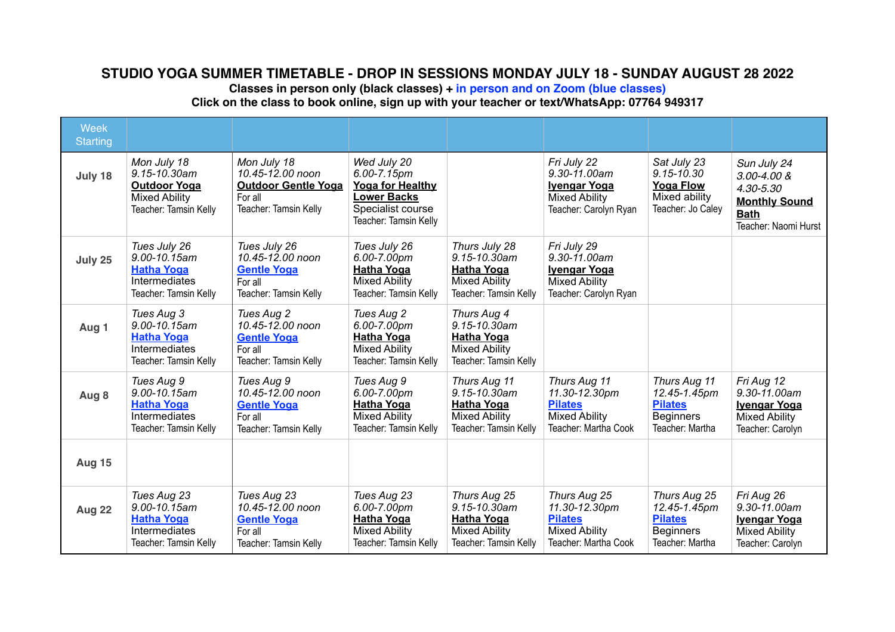## **STUDIO YOGA SUMMER TIMETABLE - DROP IN SESSIONS MONDAY JULY 18 - SUNDAY AUGUST 28 2022**

**Classes in person only (black classes) + in person and on Zoom (blue classes)**

**Click on the class to book online, sign up with your teacher or text/WhatsApp: 07764 949317** 

| <b>Week</b><br><b>Starting</b> |                                                                                                     |                                                                                                   |                                                                                                                           |                                                                                                          |                                                                                                     |                                                                                         |                                                                                                            |
|--------------------------------|-----------------------------------------------------------------------------------------------------|---------------------------------------------------------------------------------------------------|---------------------------------------------------------------------------------------------------------------------------|----------------------------------------------------------------------------------------------------------|-----------------------------------------------------------------------------------------------------|-----------------------------------------------------------------------------------------|------------------------------------------------------------------------------------------------------------|
| July 18                        | Mon July 18<br>9.15-10.30am<br><b>Outdoor Yoga</b><br><b>Mixed Ability</b><br>Teacher: Tamsin Kelly | Mon July 18<br>10.45-12.00 noon<br><b>Outdoor Gentle Yoga</b><br>For all<br>Teacher: Tamsin Kelly | Wed July 20<br>6.00-7.15pm<br><b>Yoga for Healthy</b><br><b>Lower Backs</b><br>Specialist course<br>Teacher: Tamsin Kelly |                                                                                                          | Fri July 22<br>9.30-11.00am<br><b>Ivengar Yoga</b><br><b>Mixed Ability</b><br>Teacher: Carolyn Ryan | Sat July 23<br>$9.15 - 10.30$<br><b>Yoga Flow</b><br>Mixed ability<br>Teacher: Jo Caley | Sun July 24<br>$3.00 - 4.00$ &<br>4.30-5.30<br><b>Monthly Sound</b><br><b>Bath</b><br>Teacher: Naomi Hurst |
| July 25                        | Tues July 26<br>9.00-10.15am<br><b>Hatha Yoga</b><br><b>Intermediates</b><br>Teacher: Tamsin Kelly  | Tues July 26<br>10.45-12.00 noon<br><b>Gentle Yoga</b><br>For all<br>Teacher: Tamsin Kelly        | Tues July 26<br>6.00-7.00pm<br><b>Hatha Yoga</b><br><b>Mixed Ability</b><br>Teacher: Tamsin Kelly                         | Thurs July 28<br>$9.15 - 10.30$ am<br><b>Hatha Yoga</b><br><b>Mixed Ability</b><br>Teacher: Tamsin Kelly | Fri July 29<br>9.30-11.00am<br><b>Ivengar Yoga</b><br><b>Mixed Ability</b><br>Teacher: Carolyn Ryan |                                                                                         |                                                                                                            |
| Aug 1                          | Tues Aug 3<br>9.00-10.15am<br><b>Hatha Yoga</b><br>Intermediates<br>Teacher: Tamsin Kelly           | Tues Aug 2<br>10.45-12.00 noon<br><b>Gentle Yoga</b><br>For all<br>Teacher: Tamsin Kelly          | Tues Aug 2<br>6.00-7.00pm<br><b>Hatha Yoga</b><br><b>Mixed Ability</b><br>Teacher: Tamsin Kelly                           | Thurs Aug 4<br>$9.15 - 10.30$ am<br><b>Hatha Yoga</b><br><b>Mixed Ability</b><br>Teacher: Tamsin Kelly   |                                                                                                     |                                                                                         |                                                                                                            |
| Aug 8                          | Tues Aug 9<br>9.00-10.15am<br><b>Hatha Yoga</b><br>Intermediates<br>Teacher: Tamsin Kelly           | Tues Aug 9<br>10.45-12.00 noon<br><b>Gentle Yoga</b><br>For all<br>Teacher: Tamsin Kelly          | Tues Aug 9<br>6.00-7.00pm<br><b>Hatha Yoga</b><br><b>Mixed Ability</b><br>Teacher: Tamsin Kelly                           | Thurs Aug 11<br>9.15-10.30am<br><b>Hatha Yoga</b><br><b>Mixed Ability</b><br>Teacher: Tamsin Kelly       | Thurs Aug 11<br>11.30-12.30pm<br><b>Pilates</b><br><b>Mixed Ability</b><br>Teacher: Martha Cook     | Thurs Aug 11<br>12.45-1.45pm<br><b>Pilates</b><br><b>Beginners</b><br>Teacher: Martha   | Fri Aug 12<br>9.30-11.00am<br><b>Ivengar Yoga</b><br><b>Mixed Ability</b><br>Teacher: Carolyn              |
| <b>Aug 15</b>                  |                                                                                                     |                                                                                                   |                                                                                                                           |                                                                                                          |                                                                                                     |                                                                                         |                                                                                                            |
| <b>Aug 22</b>                  | Tues Aug 23<br>9.00-10.15am<br><b>Hatha Yoga</b><br>Intermediates<br>Teacher: Tamsin Kelly          | Tues Aug 23<br>10.45-12.00 noon<br><b>Gentle Yoga</b><br>For all<br>Teacher: Tamsin Kelly         | Tues Aug 23<br>6.00-7.00pm<br><b>Hatha Yoga</b><br><b>Mixed Ability</b><br>Teacher: Tamsin Kelly                          | Thurs Aug 25<br>9.15-10.30am<br><b>Hatha Yoga</b><br><b>Mixed Ability</b><br>Teacher: Tamsin Kelly       | Thurs Aug 25<br>11.30-12.30pm<br><b>Pilates</b><br><b>Mixed Ability</b><br>Teacher: Martha Cook     | Thurs Aug 25<br>12.45-1.45pm<br><b>Pilates</b><br><b>Beginners</b><br>Teacher: Martha   | Fri Aug 26<br>9.30-11.00am<br><b>Ivengar Yoga</b><br><b>Mixed Ability</b><br>Teacher: Carolyn              |